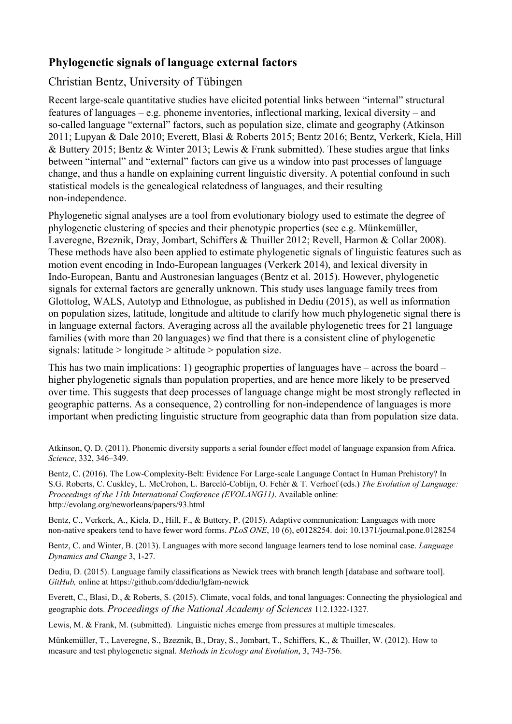## **Phylogenetic signals of language external factors**

## Christian Bentz, University of Tübingen

Recent large-scale quantitative studies have elicited potential links between "internal" structural features of languages – e.g. phoneme inventories, inflectional marking, lexical diversity – and so-called language "external" factors, such as population size, climate and geography (Atkinson 2011; Lupyan & Dale 2010; Everett, Blasi & Roberts 2015; Bentz 2016; Bentz, Verkerk, Kiela, Hill & Buttery 2015; Bentz & Winter 2013; Lewis & Frank submitted). These studies argue that links between "internal" and "external" factors can give us a window into past processes of language change, and thus a handle on explaining current linguistic diversity. A potential confound in such statistical models is the genealogical relatedness of languages, and their resulting non-independence.

Phylogenetic signal analyses are a tool from evolutionary biology used to estimate the degree of phylogenetic clustering of species and their phenotypic properties (see e.g. Münkemüller, Laveregne, Bzeznik, Dray, Jombart, Schiffers & Thuiller 2012; Revell, Harmon & Collar 2008). These methods have also been applied to estimate phylogenetic signals of linguistic features such as motion event encoding in Indo-European languages (Verkerk 2014), and lexical diversity in Indo-European, Bantu and Austronesian languages (Bentz et al. 2015). However, phylogenetic signals for external factors are generally unknown. This study uses language family trees from Glottolog, WALS, Autotyp and Ethnologue, as published in Dediu (2015), as well as information on population sizes, latitude, longitude and altitude to clarify how much phylogenetic signal there is in language external factors. Averaging across all the available phylogenetic trees for 21 language families (with more than 20 languages) we find that there is a consistent cline of phylogenetic signals: latitude  $>$  longitude  $>$  altitude  $>$  population size.

This has two main implications: 1) geographic properties of languages have – across the board – higher phylogenetic signals than population properties, and are hence more likely to be preserved over time. This suggests that deep processes of language change might be most strongly reflected in geographic patterns. As a consequence, 2) controlling for non-independence of languages is more important when predicting linguistic structure from geographic data than from population size data.

Atkinson, Q. D. (2011). Phonemic diversity supports a serial founder effect model of language expansion from Africa. *Science*, 332, 346–349.

Bentz, C. (2016). The Low-Complexity-Belt: Evidence For Large-scale Language Contact In Human Prehistory? In S.G. Roberts, C. Cuskley, L. McCrohon, L. Barceló-Coblijn, O. Fehér & T. Verhoef (eds.) *The Evolution of Language: Proceedings of the 11th International Conference (EVOLANG11)*. Available online: http://evolang.org/neworleans/papers/93.html

Bentz, C., Verkerk, A., Kiela, D., Hill, F., & Buttery, P. (2015). Adaptive communication: Languages with more non-native speakers tend to have fewer word forms. *PLoS ONE*, 10 (6), e0128254. doi: 10.1371/journal.pone.0128254

Bentz, C. and Winter, B. (2013). Languages with more second language learners tend to lose nominal case. *Language Dynamics and Change* 3, 1-27.

Dediu, D. (2015). Language family classifications as Newick trees with branch length [database and software tool]. *GitHub*, online at https://github.com/ddediu/lgfam-newick

Everett, C., Blasi, D., & Roberts, S. (2015). Climate, vocal folds, and tonal languages: Connecting the physiological and geographic dots. *Proceedings of the National Academy of Sciences* 112.1322-1327.

Lewis, M. & Frank, M. (submitted). Linguistic niches emerge from pressures at multiple timescales.

Münkemüller, T., Laveregne, S., Bzeznik, B., Dray, S., Jombart, T., Schiffers, K., & Thuiller, W. (2012). How to measure and test phylogenetic signal. *Methods in Ecology and Evolution*, 3, 743-756.